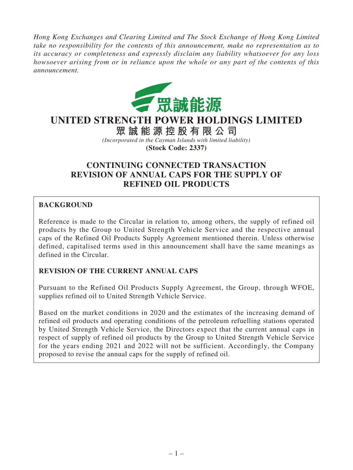*Hong Kong Exchanges and Clearing Limited and The Stock Exchange of Hong Kong Limited take no responsibility for the contents of this announcement, make no representation as to its accuracy or completeness and expressly disclaim any liability whatsoever for any loss howsoever arising from or in reliance upon the whole or any part of the contents of this announcement.*



# **UNITED STRENGTH POWER HOLDINGS LIMITED**

**眾誠能源控股有限公司** *(Incorporated in the Cayman Islands with limited liability)* **(Stock Code: 2337)**

# **CONTINUING CONNECTED TRANSACTION REVISION OF ANNUAL CAPS FOR THE SUPPLY OF REFINED OIL PRODUCTS**

## **BACKGROUND**

Reference is made to the Circular in relation to, among others, the supply of refined oil products by the Group to United Strength Vehicle Service and the respective annual caps of the Refined Oil Products Supply Agreement mentioned therein. Unless otherwise defined, capitalised terms used in this announcement shall have the same meanings as defined in the Circular.

## **REVISION OF THE CURRENT ANNUAL CAPS**

Pursuant to the Refined Oil Products Supply Agreement, the Group, through WFOE, supplies refined oil to United Strength Vehicle Service.

Based on the market conditions in 2020 and the estimates of the increasing demand of refined oil products and operating conditions of the petroleum refuelling stations operated by United Strength Vehicle Service, the Directors expect that the current annual caps in respect of supply of refined oil products by the Group to United Strength Vehicle Service for the years ending 2021 and 2022 will not be sufficient. Accordingly, the Company proposed to revise the annual caps for the supply of refined oil.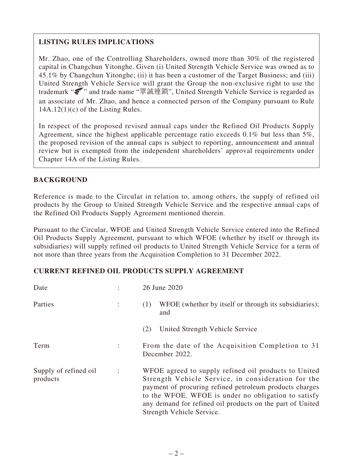# **LISTING RULES IMPLICATIONS**

Mr. Zhao, one of the Controlling Shareholders, owned more than 30% of the registered capital in Changchun Yitonghe. Given (i) United Strength Vehicle Service was owned as to 45.1% by Changchun Yitonghe; (ii) it has been a customer of the Target Business; and (iii) United Strength Vehicle Service will grant the Group the non-exclusive right to use the trademark "<br>strademark "<br>and trade name "眾誠連鎖", United Strength Vehicle Service is regarded as an associate of Mr. Zhao, and hence a connected person of the Company pursuant to Rule 14A.12(1)(c) of the Listing Rules.

In respect of the proposed revised annual caps under the Refined Oil Products Supply Agreement, since the highest applicable percentage ratio exceeds 0.1% but less than 5%, the proposed revision of the annual caps is subject to reporting, announcement and annual review but is exempted from the independent shareholders' approval requirements under Chapter 14A of the Listing Rules.

## **BACKGROUND**

Reference is made to the Circular in relation to, among others, the supply of refined oil products by the Group to United Strength Vehicle Service and the respective annual caps of the Refined Oil Products Supply Agreement mentioned therein.

Pursuant to the Circular, WFOE and United Strength Vehicle Service entered into the Refined Oil Products Supply Agreement, pursuant to which WFOE (whether by itself or through its subsidiaries) will supply refined oil products to United Strength Vehicle Service for a term of not more than three years from the Acquisition Completion to 31 December 2022.

#### **CURRENT REFINED OIL PRODUCTS SUPPLY AGREEMENT**

| Date                              |                      | 26 June 2020                                                                                                                                                                                                                                                                                                           |
|-----------------------------------|----------------------|------------------------------------------------------------------------------------------------------------------------------------------------------------------------------------------------------------------------------------------------------------------------------------------------------------------------|
| Parties                           |                      | WFOE (whether by itself or through its subsidiaries);<br>(1)<br>and                                                                                                                                                                                                                                                    |
|                                   |                      | United Strength Vehicle Service<br>(2)                                                                                                                                                                                                                                                                                 |
| Term                              | $\ddot{\phantom{a}}$ | From the date of the Acquisition Completion to 31<br>December 2022.                                                                                                                                                                                                                                                    |
| Supply of refined oil<br>products | $\ddot{\cdot}$       | WFOE agreed to supply refined oil products to United<br>Strength Vehicle Service, in consideration for the<br>payment of procuring refined petroleum products charges<br>to the WFOE. WFOE is under no obligation to satisfy<br>any demand for refined oil products on the part of United<br>Strength Vehicle Service. |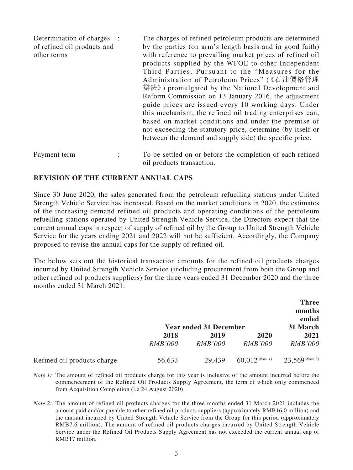| Determination of charges :<br>of refined oil products and<br>other terms | The charges of refined petroleum products are determined<br>by the parties (on arm's length basis and in good faith)<br>with reference to prevailing market prices of refined oil<br>products supplied by the WFOE to other Independent<br>Third Parties. Pursuant to the "Measures for the<br>Administration of Petroleum Prices" (《石油價格管理<br>辦法》) promulgated by the National Development and<br>Reform Commission on 13 January 2016, the adjustment<br>guide prices are issued every 10 working days. Under<br>this mechanism, the refined oil trading enterprises can,<br>based on market conditions and under the premise of |
|--------------------------------------------------------------------------|------------------------------------------------------------------------------------------------------------------------------------------------------------------------------------------------------------------------------------------------------------------------------------------------------------------------------------------------------------------------------------------------------------------------------------------------------------------------------------------------------------------------------------------------------------------------------------------------------------------------------------|
|                                                                          | not exceeding the statutory price, determine (by itself or<br>between the demand and supply side) the specific price.                                                                                                                                                                                                                                                                                                                                                                                                                                                                                                              |
| Payment term                                                             | To be settled on or before the completion of each refined                                                                                                                                                                                                                                                                                                                                                                                                                                                                                                                                                                          |

oil products transaction.

#### **REVISION OF THE CURRENT ANNUAL CAPS**

Since 30 June 2020, the sales generated from the petroleum refuelling stations under United Strength Vehicle Service has increased. Based on the market conditions in 2020, the estimates of the increasing demand refined oil products and operating conditions of the petroleum refuelling stations operated by United Strength Vehicle Service, the Directors expect that the current annual caps in respect of supply of refined oil by the Group to United Strength Vehicle Service for the years ending 2021 and 2022 will not be sufficient. Accordingly, the Company proposed to revise the annual caps for the supply of refined oil.

The below sets out the historical transaction amounts for the refined oil products charges incurred by United Strength Vehicle Service (including procurement from both the Group and other refined oil products suppliers) for the three years ended 31 December 2020 and the three months ended 31 March 2021:

|                             |                | <b>Year ended 31 December</b> |                              | <b>Three</b><br>months<br>ended<br>31 March |
|-----------------------------|----------------|-------------------------------|------------------------------|---------------------------------------------|
|                             | 2018           | 2019                          | 2020                         | 2021                                        |
|                             | <i>RMB'000</i> | <i>RMB'000</i>                | <i>RMB'000</i>               | <i>RMB'000</i>                              |
| Refined oil products charge | 56,633         | 29,439                        | $60,012$ <sup>(Note 1)</sup> | $23,569$ <sup>(Note 2)</sup>                |

- *Note 1*: The amount of refined oil products charge for this year is inclusive of the amount incurred before the commencement of the Refined Oil Products Supply Agreement, the term of which only commenced from Acquisition Completion (i.e 24 August 2020).
- *Note 2:* The amount of refined oil products charges for the three months ended 31 March 2021 includes the amount paid and/or payable to other refined oil products suppliers (approximately RMB16.0 million) and the amount incurred by United Strength Vehicle Service from the Group for this period (approximately RMB7.6 million). The amount of refined oil products charges incurred by United Strength Vehicle Service under the Refined Oil Products Supply Agreement has not exceeded the current annual cap of RMB17 million.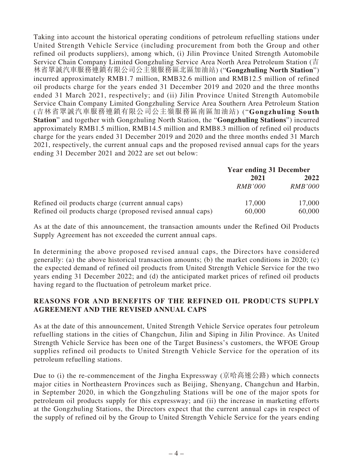Taking into account the historical operating conditions of petroleum refuelling stations under United Strength Vehicle Service (including procurement from both the Group and other refined oil products suppliers), among which, (i) Jilin Province United Strength Automobile Service Chain Company Limited Gongzhuling Service Area North Area Petroleum Station (吉 林省眾誠汽車服務連鎖有限公司公主嶺服務區北區加油站) ("**Gongzhuling North Station**") incurred approximately RMB1.7 million, RMB32.6 million and RMB12.5 million of refined oil products charge for the years ended 31 December 2019 and 2020 and the three months ended 31 March 2021, respectively; and (ii) Jilin Province United Strength Automobile Service Chain Company Limited Gongzhuling Service Area Southern Area Petroleum Station (吉林省眾誠汽車服務連鎖有限公司公主嶺服務區南區加油站) ("**Gongzhuling South Station**" and together with Gongzhuling North Station, the "**Gongzhuling Stations**") incurred approximately RMB1.5 million, RMB14.5 million and RMB8.3 million of refined oil products charge for the years ended 31 December 2019 and 2020 and the three months ended 31 March 2021, respectively, the current annual caps and the proposed revised annual caps for the years ending 31 December 2021 and 2022 are set out below:

|                                                            |                | <b>Year ending 31 December</b> |  |
|------------------------------------------------------------|----------------|--------------------------------|--|
|                                                            | 2021           | 2022                           |  |
|                                                            | <i>RMB'000</i> | <b>RMB'000</b>                 |  |
| Refined oil products charge (current annual caps)          | 17,000         | 17,000                         |  |
| Refined oil products charge (proposed revised annual caps) | 60,000         | 60,000                         |  |

As at the date of this announcement, the transaction amounts under the Refined Oil Products Supply Agreement has not exceeded the current annual caps.

In determining the above proposed revised annual caps, the Directors have considered generally: (a) the above historical transaction amounts; (b) the market conditions in 2020; (c) the expected demand of refined oil products from United Strength Vehicle Service for the two years ending 31 December 2022; and (d) the anticipated market prices of refined oil products having regard to the fluctuation of petroleum market price.

#### **REASONS FOR AND BENEFITS OF THE REFINED OIL PRODUCTS SUPPLY AGREEMENT AND THE REVISED ANNUAL CAPS**

As at the date of this announcement, United Strength Vehicle Service operates four petroleum refuelling stations in the cities of Changchun, Jilin and Siping in Jilin Province. As United Strength Vehicle Service has been one of the Target Business's customers, the WFOE Group supplies refined oil products to United Strength Vehicle Service for the operation of its petroleum refuelling stations.

Due to (i) the re-commencement of the Jingha Expressway (京哈高速公路) which connects major cities in Northeastern Provinces such as Beijing, Shenyang, Changchun and Harbin, in September 2020, in which the Gongzhuling Stations will be one of the major spots for petroleum oil products supply for this expressway; and (ii) the increase in marketing efforts at the Gongzhuling Stations, the Directors expect that the current annual caps in respect of the supply of refined oil by the Group to United Strength Vehicle Service for the years ending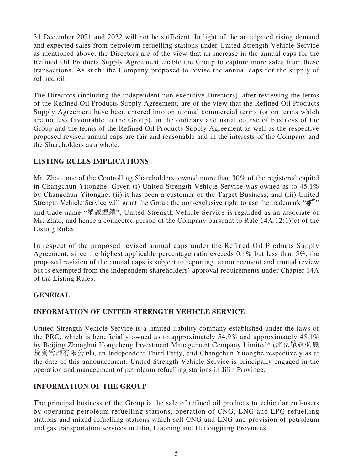31 December 2021 and 2022 will not be sufficient. In light of the anticipated rising demand and expected sales from petroleum refuelling stations under United Strength Vehicle Service as mentioned above, the Directors are of the view that an increase in the annual caps for the Refined Oil Products Supply Agreement enable the Group to capture more sales from these transactions. As such, the Company proposed to revise the annual caps for the supply of refined oil.

The Directors (including the independent non-executive Directors), after reviewing the terms of the Refined Oil Products Supply Agreement, are of the view that the Refined Oil Products Supply Agreement have been entered into on normal commercial terms (or on terms which are no less favourable to the Group), in the ordinary and usual course of business of the Group and the terms of the Refined Oil Products Supply Agreement as well as the respective proposed revised annual caps are fair and reasonable and in the interests of the Company and the Shareholders as a whole.

## **LISTING RULES IMPLICATIONS**

Mr. Zhao, one of the Controlling Shareholders, owned more than 30% of the registered capital in Changchun Yitonghe. Given (i) United Strength Vehicle Service was owned as to 45.1% by Changchun Yitonghe; (ii) it has been a customer of the Target Business; and (iii) United Strength Vehicle Service will grant the Group the non-exclusive right to use the trademark " and trade name "眾誠連鎖", United Strength Vehicle Service is regarded as an associate of Mr. Zhao, and hence a connected person of the Company pursuant to Rule 14A.12(1)(c) of the Listing Rules.

In respect of the proposed revised annual caps under the Refined Oil Products Supply Agreement, since the highest applicable percentage ratio exceeds 0.1% but less than 5%, the proposed revision of the annual caps is subject to reporting, announcement and annual review but is exempted from the independent shareholders' approval requirements under Chapter 14A of the Listing Rules.

## **GENERAL**

## **INFORMATION OF UNITED STRENGTH VEHICLE SERVICE**

United Strength Vehicle Service is a limited liability company established under the laws of the PRC, which is beneficially owned as to approximately 54.9% and approximately 45.1% by Beijing Zhonghui Hongcheng Investment Management Company Limited\* (北京眾輝弘晟 投資管理有限公司), an Independent Third Party, and Changchun Yitonghe respectively as at the date of this announcement. United Strength Vehicle Service is principally engaged in the operation and management of petroleum refuelling stations in Jilin Province.

## **INFORMATION OF THE GROUP**

The principal business of the Group is the sale of refined oil products to vehicular end-users by operating petroleum refuelling stations, operation of CNG, LNG and LPG refuelling stations and mixed refuelling stations which sell CNG and LNG and provision of petroleum and gas transportation services in Jilin, Liaoning and Heilongjiang Provinces.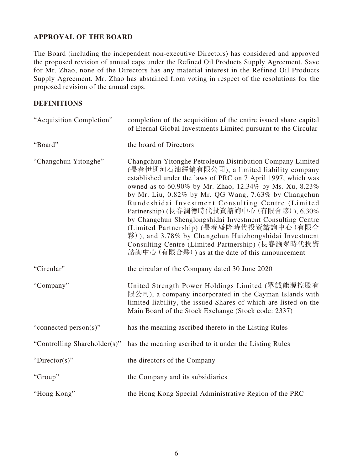#### **APPROVAL OF THE BOARD**

The Board (including the independent non-executive Directors) has considered and approved the proposed revision of annual caps under the Refined Oil Products Supply Agreement. Save for Mr. Zhao, none of the Directors has any material interest in the Refined Oil Products Supply Agreement. Mr. Zhao has abstained from voting in respect of the resolutions for the proposed revision of the annual caps.

#### **DEFINITIONS**

| "Acquisition Completion"     | completion of the acquisition of the entire issued share capital<br>of Eternal Global Investments Limited pursuant to the Circular                                                                                                                                                                                                                                                                                                                                                                                                                                                                                                                                                    |
|------------------------------|---------------------------------------------------------------------------------------------------------------------------------------------------------------------------------------------------------------------------------------------------------------------------------------------------------------------------------------------------------------------------------------------------------------------------------------------------------------------------------------------------------------------------------------------------------------------------------------------------------------------------------------------------------------------------------------|
| "Board"                      | the board of Directors                                                                                                                                                                                                                                                                                                                                                                                                                                                                                                                                                                                                                                                                |
| "Changchun Yitonghe"         | Changchun Yitonghe Petroleum Distribution Company Limited<br>(長春伊通河石油經銷有限公司), a limited liability company<br>established under the laws of PRC on 7 April 1997, which was<br>owned as to 60.90% by Mr. Zhao, 12.34% by Ms. Xu, 8.23%<br>by Mr. Liu, 0.82% by Mr. QG Wang, 7.63% by Changchun<br>Rundeshidai Investment Consulting Centre (Limited<br>Partnership) (長春潤德時代投資諮詢中心 (有限合夥)), 6.30%<br>by Changchun Shenglongshidai Investment Consulting Centre<br>(Limited Partnership) (長春盛隆時代投資諮詢中心 (有限合<br>$\mathcal{H}$ ), and 3.78% by Changchun Huizhongshidai Investment<br>Consulting Centre (Limited Partnership) (長春滙眾時代投資<br>諮詢中心 (有限合夥)) as at the date of this announcement |
| "Circular"                   | the circular of the Company dated 30 June 2020                                                                                                                                                                                                                                                                                                                                                                                                                                                                                                                                                                                                                                        |
| "Company"                    | United Strength Power Holdings Limited (眾誠能源控股有<br>限公司), a company incorporated in the Cayman Islands with<br>limited liability, the issued Shares of which are listed on the<br>Main Board of the Stock Exchange (Stock code: 2337)                                                                                                                                                                                                                                                                                                                                                                                                                                                  |
| "connected person(s)"        | has the meaning ascribed thereto in the Listing Rules                                                                                                                                                                                                                                                                                                                                                                                                                                                                                                                                                                                                                                 |
| "Controlling Shareholder(s)" | has the meaning ascribed to it under the Listing Rules                                                                                                                                                                                                                                                                                                                                                                                                                                                                                                                                                                                                                                |
| "Director(s)"                | the directors of the Company                                                                                                                                                                                                                                                                                                                                                                                                                                                                                                                                                                                                                                                          |
| "Group"                      | the Company and its subsidiaries                                                                                                                                                                                                                                                                                                                                                                                                                                                                                                                                                                                                                                                      |
| "Hong Kong"                  | the Hong Kong Special Administrative Region of the PRC                                                                                                                                                                                                                                                                                                                                                                                                                                                                                                                                                                                                                                |